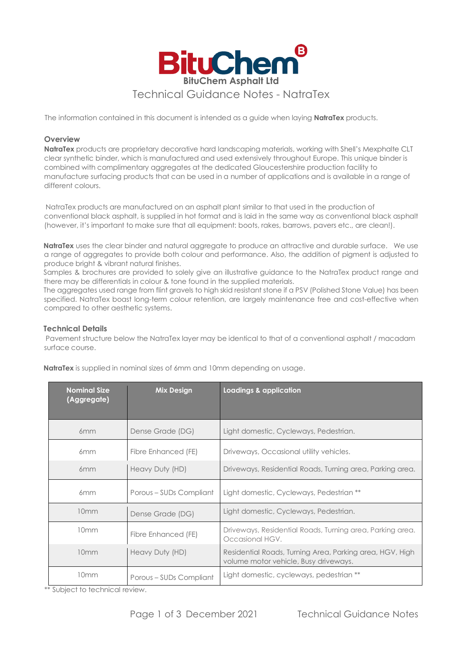

The information contained in this document is intended as a guide when laying **NatraTex** products.

# **Overview**

**NatraTex** products are proprietary decorative hard landscaping materials, working with Shell's Mexphalte CLT clear synthetic binder, which is manufactured and used extensively throughout Europe. This unique binder is combined with complimentary aggregates at the dedicated Gloucestershire production facility to manufacture surfacing products that can be used in a number of applications and is available in a range of different colours.

NatraTex products are manufactured on an asphalt plant similar to that used in the production of conventional black asphalt, is supplied in hot format and is laid in the same way as conventional black asphalt (however, it's important to make sure that all equipment: boots, rakes, barrows, pavers etc., are clean!).

**NatraTex** uses the clear binder and natural aggregate to produce an attractive and durable surface. We use a range of aggregates to provide both colour and performance. Also, the addition of pigment is adjusted to produce bright & vibrant natural finishes.

Samples & brochures are provided to solely give an illustrative guidance to the NatraTex product range and there may be differentials in colour & tone found in the supplied materials.

The aggregates used range from flint gravels to high skid resistant stone if a PSV (Polished Stone Value) has been specified. NatraTex boast long-term colour retention, are largely maintenance free and cost-effective when compared to other aesthetic systems.

# **Technical Details**

Pavement structure below the NatraTex layer may be identical to that of a conventional asphalt / macadam surface course.

| <b>Nominal Size</b><br>(Aggregate) | <b>Mix Design</b>       | Loadings & application                                                                            |
|------------------------------------|-------------------------|---------------------------------------------------------------------------------------------------|
| 6 <sub>mm</sub>                    | Dense Grade (DG)        | Light domestic, Cycleways, Pedestrian.                                                            |
| 6 <sub>mm</sub>                    | Fibre Enhanced (FE)     | Driveways, Occasional utility vehicles.                                                           |
| 6 <sub>mm</sub>                    | Heavy Duty (HD)         | Driveways, Residential Roads, Turning area, Parking area.                                         |
| 6 <sub>mm</sub>                    | Porous - SUDs Compliant | Light domestic, Cycleways, Pedestrian **                                                          |
| 10 <sub>mm</sub>                   | Dense Grade (DG)        | Light domestic, Cycleways, Pedestrian.                                                            |
| 10mm                               | Fibre Enhanced (FE)     | Driveways, Residential Roads, Turning area, Parking area.<br>Occasional HGV.                      |
| 10mm                               | Heavy Duty (HD)         | Residential Roads, Turning Area, Parking area, HGV, High<br>volume motor vehicle, Busy driveways. |
| 10mm                               | Porous - SUDs Compliant | Light domestic, cycleways, pedestrian **                                                          |

**NatraTex** is supplied in nominal sizes of 6mm and 10mm depending on usage.

\*\* Subject to technical review.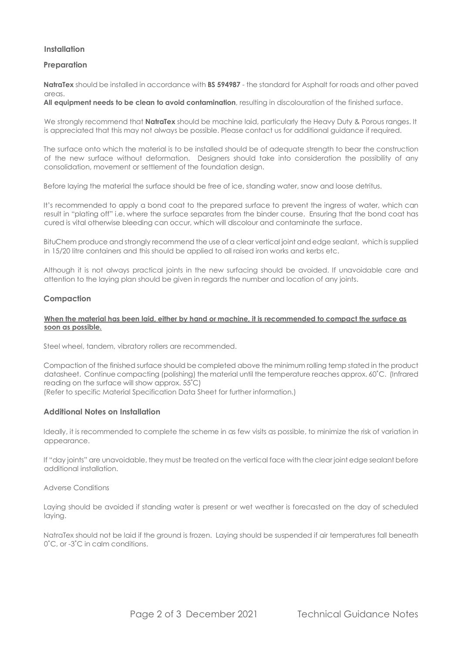# **Installation**

# **Preparation**

**NatraTex** should be installed in accordance with **BS 594987** - the standard for Asphalt for roads and other paved areas.

**All equipment needs to be clean to avoid contamination**, resulting in discolouration of the finished surface.

We strongly recommend that **NatraTex** should be machine laid, particularly the Heavy Duty & Porous ranges. It is appreciated that this may not always be possible. Please contact us for additional guidance if required.

The surface onto which the material is to be installed should be of adequate strength to bear the construction of the new surface without deformation. Designers should take into consideration the possibility of any consolidation, movement or settlement of the foundation design.

Before laying the material the surface should be free of ice, standing water, snow and loose detritus.

It's recommended to apply a bond coat to the prepared surface to prevent the ingress of water, which can result in "plating off" i.e. where the surface separates from the binder course. Ensuring that the bond coat has cured is vital otherwise bleeding can occur, which will discolour and contaminate the surface.

BituChem produce and strongly recommend the use of a clear vertical joint and edge sealant, which is supplied in 15/20 litre containers and this should be applied to all raised iron works and kerbs etc.

Although it is not always practical joints in the new surfacing should be avoided. If unavoidable care and attention to the laying plan should be given in regards the number and location of any joints.

# **Compaction**

#### **When the material has been laid, either by hand or machine, it is recommended to compact the surface as soon as possible.**

Steel wheel, tandem, vibratory rollers are recommended.

Compaction of the finished surface should be completed above the minimum rolling temp stated in the product datasheet. Continue compacting (polishing) the material until the temperature reaches approx. 60˚C. (Infrared reading on the surface will show approx. 55˚C) (Refer to specific Material Specification Data Sheet for further information.)

### **Additional Notes on Installation**

Ideally, it is recommended to complete the scheme in as few visits as possible, to minimize the risk of variation in appearance.

If "day joints" are unavoidable, they must be treated on the vertical face with the clear joint edge sealant before additional installation.

Adverse Conditions

Laying should be avoided if standing water is present or wet weather is forecasted on the day of scheduled laying.

NatraTex should not be laid if the ground is frozen. Laying should be suspended if air temperatures fall beneath 0˚C, or -3˚C in calm conditions.